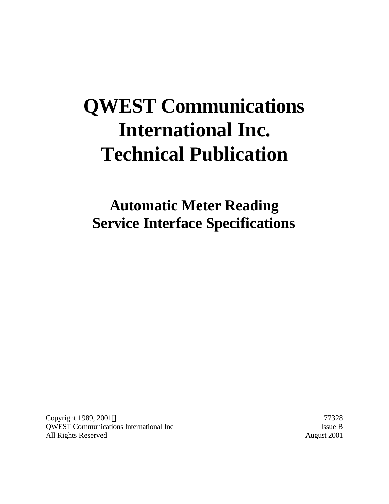# **QWEST Communications International Inc. Technical Publication**

**Automatic Meter Reading Service Interface Specifications**

Copyright 1989, 2001 © 77328 QWEST Communications International Inc Issue B All Rights Reserved August 2001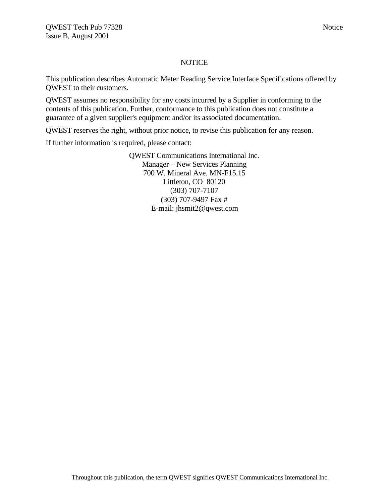#### **NOTICE**

This publication describes Automatic Meter Reading Service Interface Specifications offered by QWEST to their customers.

QWEST assumes no responsibility for any costs incurred by a Supplier in conforming to the contents of this publication. Further, conformance to this publication does not constitute a guarantee of a given supplier's equipment and/or its associated documentation.

QWEST reserves the right, without prior notice, to revise this publication for any reason.

If further information is required, please contact:

QWEST Communications International Inc. Manager – New Services Planning 700 W. Mineral Ave. MN-F15.15 Littleton, CO 80120 (303) 707-7107 (303) 707-9497 Fax # E-mail: jhsmit2@qwest.com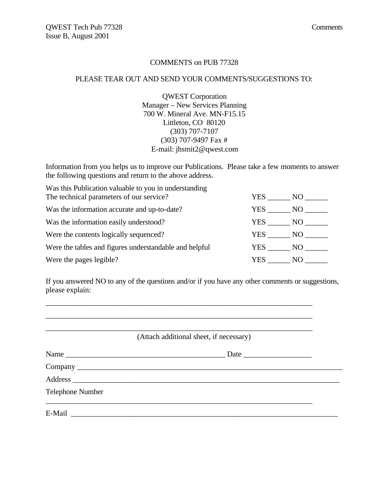#### COMMENTS on PUB 77328

#### PLEASE TEAR OUT AND SEND YOUR COMMENTS/SUGGESTIONS TO:

QWEST Corporation Manager – New Services Planning 700 W. Mineral Ave. MN-F15.15 Littleton, CO 80120 (303) 707-7107 (303) 707-9497 Fax # E-mail: jhsmit2@qwest.com

Information from you helps us to improve our Publications. Please take a few moments to answer the following questions and return to the above address.

Was this Publication valuable to you in understanding

| The technical parameters of our service?               | YES.   | NO     |
|--------------------------------------------------------|--------|--------|
| Was the information accurate and up-to-date?           |        | YES NO |
| Was the information easily understood?                 | YES    | $-$ NO |
| Were the contents logically sequenced?                 | YES NO |        |
| Were the tables and figures understandable and helpful | YES NO |        |
| Were the pages legible?                                | YES.   | N()    |

If you answered NO to any of the questions and/or if you have any other comments or suggestions, please explain:

\_\_\_\_\_\_\_\_\_\_\_\_\_\_\_\_\_\_\_\_\_\_\_\_\_\_\_\_\_\_\_\_\_\_\_\_\_\_\_\_\_\_\_\_\_\_\_\_\_\_\_\_\_\_\_\_\_\_\_\_\_\_\_\_\_\_\_\_\_\_ \_\_\_\_\_\_\_\_\_\_\_\_\_\_\_\_\_\_\_\_\_\_\_\_\_\_\_\_\_\_\_\_\_\_\_\_\_\_\_\_\_\_\_\_\_\_\_\_\_\_\_\_\_\_\_\_\_\_\_\_\_\_\_\_\_\_\_\_\_\_ \_\_\_\_\_\_\_\_\_\_\_\_\_\_\_\_\_\_\_\_\_\_\_\_\_\_\_\_\_\_\_\_\_\_\_\_\_\_\_\_\_\_\_\_\_\_\_\_\_\_\_\_\_\_\_\_\_\_\_\_\_\_\_\_\_\_\_\_\_\_

(Attach additional sheet, if necessary)

| Name                    |  |  |  |  |
|-------------------------|--|--|--|--|
|                         |  |  |  |  |
|                         |  |  |  |  |
| <b>Telephone Number</b> |  |  |  |  |
| E-Mail                  |  |  |  |  |
|                         |  |  |  |  |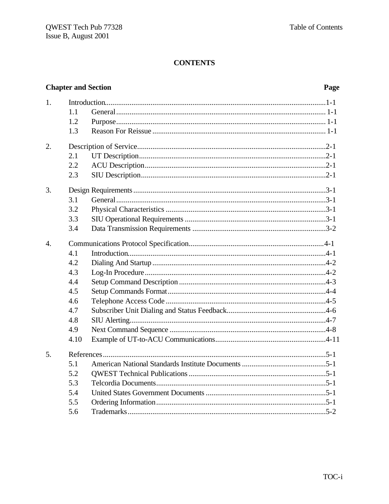# **Chapter and Section**

#### Page

| 1.               |      |  |
|------------------|------|--|
|                  | 1.1  |  |
|                  | 1.2  |  |
|                  | 1.3  |  |
| 2.               |      |  |
|                  | 2.1  |  |
|                  | 2.2  |  |
|                  | 2.3  |  |
| 3.               |      |  |
|                  | 3.1  |  |
|                  | 3.2  |  |
|                  | 3.3  |  |
|                  | 3.4  |  |
| $\overline{4}$ . |      |  |
|                  | 4.1  |  |
|                  | 4.2  |  |
|                  | 4.3  |  |
|                  | 4.4  |  |
|                  | 4.5  |  |
|                  | 4.6  |  |
|                  | 4.7  |  |
|                  | 4.8  |  |
|                  | 4.9  |  |
|                  | 4.10 |  |
| 5.               |      |  |
|                  | 5.1  |  |
|                  | 5.2  |  |
|                  | 5.3  |  |
|                  | 5.4  |  |
|                  | 5.5  |  |
|                  | 5.6  |  |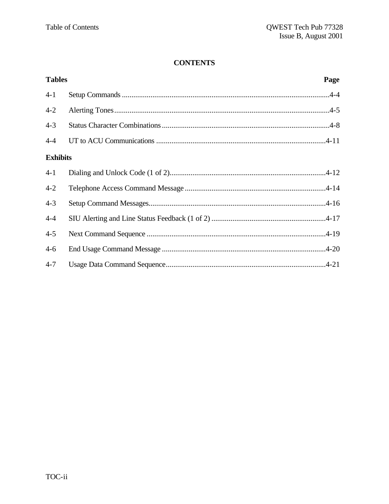| <b>Tables</b>   | Page |
|-----------------|------|
| $4 - 1$         |      |
| $4 - 2$         |      |
| $4 - 3$         |      |
| $4 - 4$         |      |
| <b>Exhibits</b> |      |
| $4 - 1$         |      |
| $4 - 2$         |      |
| $4 - 3$         |      |
| $4 - 4$         |      |
| $4 - 5$         |      |
| $4 - 6$         |      |
| $4 - 7$         |      |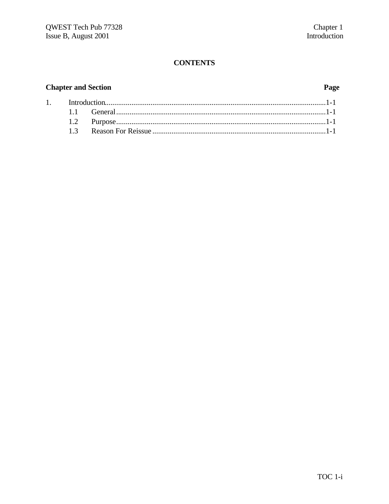# **Chapter and Section**

 $1.$ 

#### Page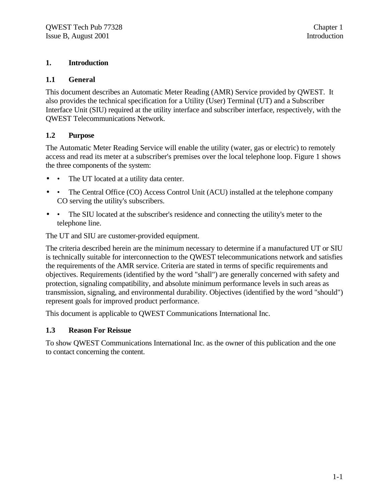#### **1. Introduction**

#### **1.1 General**

This document describes an Automatic Meter Reading (AMR) Service provided by QWEST. It also provides the technical specification for a Utility (User) Terminal (UT) and a Subscriber Interface Unit (SIU) required at the utility interface and subscriber interface, respectively, with the QWEST Telecommunications Network.

#### **1.2 Purpose**

The Automatic Meter Reading Service will enable the utility (water, gas or electric) to remotely access and read its meter at a subscriber's premises over the local telephone loop. Figure 1 shows the three components of the system:

- • The UT located at a utility data center.
- • The Central Office (CO) Access Control Unit (ACU) installed at the telephone company CO serving the utility's subscribers.
- • The SIU located at the subscriber's residence and connecting the utility's meter to the telephone line.

The UT and SIU are customer-provided equipment.

The criteria described herein are the minimum necessary to determine if a manufactured UT or SIU is technically suitable for interconnection to the QWEST telecommunications network and satisfies the requirements of the AMR service. Criteria are stated in terms of specific requirements and objectives. Requirements (identified by the word "shall") are generally concerned with safety and protection, signaling compatibility, and absolute minimum performance levels in such areas as transmission, signaling, and environmental durability. Objectives (identified by the word "should") represent goals for improved product performance.

This document is applicable to QWEST Communications International Inc.

### **1.3 Reason For Reissue**

To show QWEST Communications International Inc. as the owner of this publication and the one to contact concerning the content.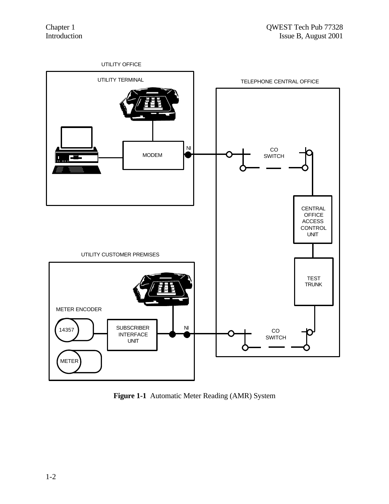

**Figure 1-1** Automatic Meter Reading (AMR) System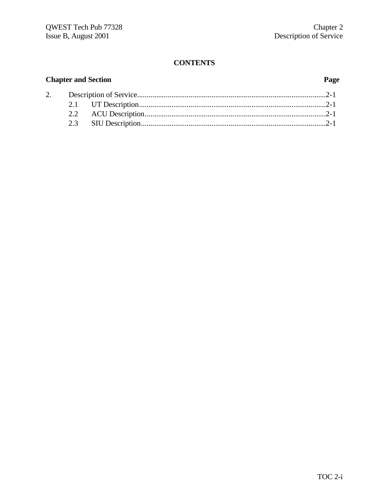# **Chapter and Section Page**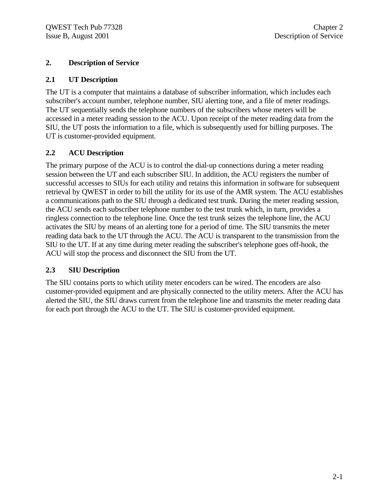#### **2. Description of Service**

#### **2.1 UT Description**

The UT is a computer that maintains a database of subscriber information, which includes each subscriber's account number, telephone number, SIU alerting tone, and a file of meter readings. The UT sequentially sends the telephone numbers of the subscribers whose meters will be accessed in a meter reading session to the ACU. Upon receipt of the meter reading data from the SIU, the UT posts the information to a file, which is subsequently used for billing purposes. The UT is customer-provided equipment.

### **2.2 ACU Description**

The primary purpose of the ACU is to control the dial-up connections during a meter reading session between the UT and each subscriber SIU. In addition, the ACU registers the number of successful accesses to SIUs for each utility and retains this information in software for subsequent retrieval by QWEST in order to bill the utility for its use of the AMR system. The ACU establishes a communications path to the SIU through a dedicated test trunk. During the meter reading session, the ACU sends each subscriber telephone number to the test trunk which, in turn, provides a ringless connection to the telephone line. Once the test trunk seizes the telephone line, the ACU activates the SIU by means of an alerting tone for a period of time. The SIU transmits the meter reading data back to the UT through the ACU. The ACU is transparent to the transmission from the SIU to the UT. If at any time during meter reading the subscriber's telephone goes off-hook, the ACU will stop the process and disconnect the SIU from the UT.

#### **2.3 SIU Description**

The SIU contains ports to which utility meter encoders can be wired. The encoders are also customer-provided equipment and are physically connected to the utility meters. After the ACU has alerted the SIU, the SIU draws current from the telephone line and transmits the meter reading data for each port through the ACU to the UT. The SIU is customer-provided equipment.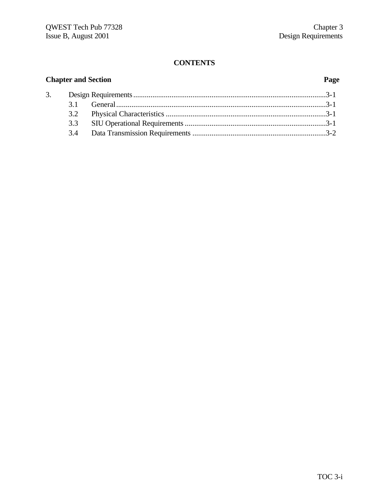# **Chapter and Section Page**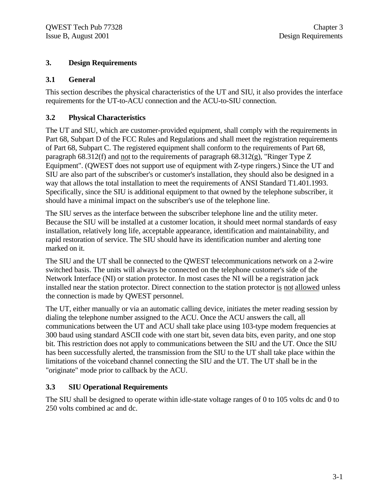#### **3. Design Requirements**

#### **3.1 General**

This section describes the physical characteristics of the UT and SIU, it also provides the interface requirements for the UT-to-ACU connection and the ACU-to-SIU connection.

#### **3.2 Physical Characteristics**

The UT and SIU, which are customer-provided equipment, shall comply with the requirements in Part 68, Subpart D of the FCC Rules and Regulations and shall meet the registration requirements of Part 68, Subpart C. The registered equipment shall conform to the requirements of Part 68, paragraph 68.312(f) and not to the requirements of paragraph 68.312(g), "Ringer Type Z Equipment". (QWEST does not support use of equipment with Z-type ringers.) Since the UT and SIU are also part of the subscriber's or customer's installation, they should also be designed in a way that allows the total installation to meet the requirements of ANSI Standard T1.401.1993. Specifically, since the SIU is additional equipment to that owned by the telephone subscriber, it should have a minimal impact on the subscriber's use of the telephone line.

The SIU serves as the interface between the subscriber telephone line and the utility meter. Because the SIU will be installed at a customer location, it should meet normal standards of easy installation, relatively long life, acceptable appearance, identification and maintainability, and rapid restoration of service. The SIU should have its identification number and alerting tone marked on it.

The SIU and the UT shall be connected to the QWEST telecommunications network on a 2-wire switched basis. The units will always be connected on the telephone customer's side of the Network Interface (NI) or station protector. In most cases the NI will be a registration jack installed near the station protector. Direct connection to the station protector is not allowed unless the connection is made by QWEST personnel.

The UT, either manually or via an automatic calling device, initiates the meter reading session by dialing the telephone number assigned to the ACU. Once the ACU answers the call, all communications between the UT and ACU shall take place using 103-type modem frequencies at 300 baud using standard ASCII code with one start bit, seven data bits, even parity, and one stop bit. This restriction does not apply to communications between the SIU and the UT. Once the SIU has been successfully alerted, the transmission from the SIU to the UT shall take place within the limitations of the voiceband channel connecting the SIU and the UT. The UT shall be in the "originate" mode prior to callback by the ACU.

### **3.3 SIU Operational Requirements**

The SIU shall be designed to operate within idle-state voltage ranges of 0 to 105 volts dc and 0 to 250 volts combined ac and dc.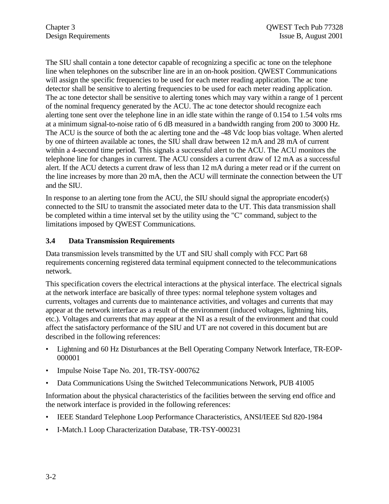The SIU shall contain a tone detector capable of recognizing a specific ac tone on the telephone line when telephones on the subscriber line are in an on-hook position. QWEST Communications will assign the specific frequencies to be used for each meter reading application. The ac tone detector shall be sensitive to alerting frequencies to be used for each meter reading application. The ac tone detector shall be sensitive to alerting tones which may vary within a range of 1 percent of the nominal frequency generated by the ACU. The ac tone detector should recognize each alerting tone sent over the telephone line in an idle state within the range of 0.154 to 1.54 volts rms at a minimum signal-to-noise ratio of 6 dB measured in a bandwidth ranging from 200 to 3000 Hz. The ACU is the source of both the ac alerting tone and the -48 Vdc loop bias voltage. When alerted by one of thirteen available ac tones, the SIU shall draw between 12 mA and 28 mA of current within a 4-second time period. This signals a successful alert to the ACU. The ACU monitors the telephone line for changes in current. The ACU considers a current draw of 12 mA as a successful alert. If the ACU detects a current draw of less than 12 mA during a meter read or if the current on the line increases by more than 20 mA, then the ACU will terminate the connection between the UT and the SIU.

In response to an alerting tone from the ACU, the SIU should signal the appropriate encoder(s) connected to the SIU to transmit the associated meter data to the UT. This data transmission shall be completed within a time interval set by the utility using the "C" command, subject to the limitations imposed by QWEST Communications.

#### **3.4 Data Transmission Requirements**

Data transmission levels transmitted by the UT and SIU shall comply with FCC Part 68 requirements concerning registered data terminal equipment connected to the telecommunications network.

This specification covers the electrical interactions at the physical interface. The electrical signals at the network interface are basically of three types: normal telephone system voltages and currents, voltages and currents due to maintenance activities, and voltages and currents that may appear at the network interface as a result of the environment (induced voltages, lightning hits, etc.). Voltages and currents that may appear at the NI as a result of the environment and that could affect the satisfactory performance of the SIU and UT are not covered in this document but are described in the following references:

- Lightning and 60 Hz Disturbances at the Bell Operating Company Network Interface, TR-EOP-000001
- Impulse Noise Tape No. 201, TR-TSY-000762
- Data Communications Using the Switched Telecommunications Network, PUB 41005

Information about the physical characteristics of the facilities between the serving end office and the network interface is provided in the following references:

- IEEE Standard Telephone Loop Performance Characteristics, ANSI/IEEE Std 820-1984
- I-Match.1 Loop Characterization Database, TR-TSY-000231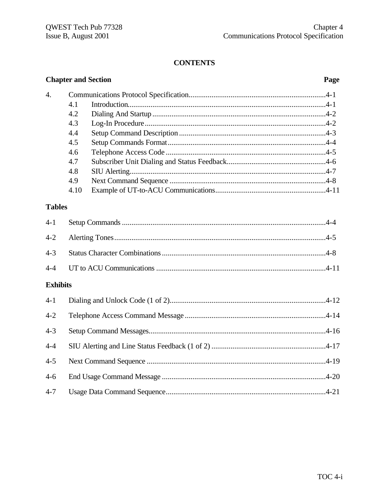|                 |      | <b>Chapter and Section</b> | Page |
|-----------------|------|----------------------------|------|
| 4.              |      |                            |      |
|                 | 4.1  |                            |      |
|                 | 4.2  |                            |      |
|                 | 4.3  |                            |      |
|                 | 4.4  |                            |      |
|                 | 4.5  |                            |      |
|                 | 4.6  |                            |      |
|                 | 4.7  |                            |      |
|                 | 4.8  |                            |      |
|                 | 4.9  |                            |      |
|                 | 4.10 |                            |      |
| <b>Tables</b>   |      |                            |      |
| $4 - 1$         |      |                            |      |
| $4 - 2$         |      |                            |      |
| $4 - 3$         |      |                            |      |
| $4 - 4$         |      |                            |      |
| <b>Exhibits</b> |      |                            |      |
| $4 - 1$         |      |                            |      |
| $4 - 2$         |      |                            |      |
| $4 - 3$         |      |                            |      |
| $4 - 4$         |      |                            |      |
| $4 - 5$         |      |                            |      |
| $4 - 6$         |      |                            |      |
| $4 - 7$         |      |                            |      |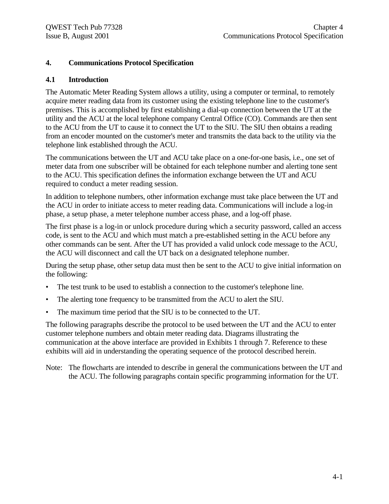#### **4. Communications Protocol Specification**

#### **4.1 Introduction**

The Automatic Meter Reading System allows a utility, using a computer or terminal, to remotely acquire meter reading data from its customer using the existing telephone line to the customer's premises. This is accomplished by first establishing a dial-up connection between the UT at the utility and the ACU at the local telephone company Central Office (CO). Commands are then sent to the ACU from the UT to cause it to connect the UT to the SIU. The SIU then obtains a reading from an encoder mounted on the customer's meter and transmits the data back to the utility via the telephone link established through the ACU.

The communications between the UT and ACU take place on a one-for-one basis, i.e., one set of meter data from one subscriber will be obtained for each telephone number and alerting tone sent to the ACU. This specification defines the information exchange between the UT and ACU required to conduct a meter reading session.

In addition to telephone numbers, other information exchange must take place between the UT and the ACU in order to initiate access to meter reading data. Communications will include a log-in phase, a setup phase, a meter telephone number access phase, and a log-off phase.

The first phase is a log-in or unlock procedure during which a security password, called an access code, is sent to the ACU and which must match a pre-established setting in the ACU before any other commands can be sent. After the UT has provided a valid unlock code message to the ACU, the ACU will disconnect and call the UT back on a designated telephone number.

During the setup phase, other setup data must then be sent to the ACU to give initial information on the following:

- The test trunk to be used to establish a connection to the customer's telephone line.
- The alerting tone frequency to be transmitted from the ACU to alert the SIU.
- The maximum time period that the SIU is to be connected to the UT.

The following paragraphs describe the protocol to be used between the UT and the ACU to enter customer telephone numbers and obtain meter reading data. Diagrams illustrating the communication at the above interface are provided in Exhibits 1 through 7. Reference to these exhibits will aid in understanding the operating sequence of the protocol described herein.

Note: The flowcharts are intended to describe in general the communications between the UT and the ACU. The following paragraphs contain specific programming information for the UT.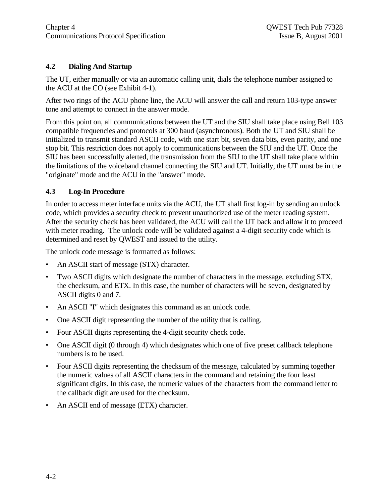### **4.2 Dialing And Startup**

The UT, either manually or via an automatic calling unit, dials the telephone number assigned to the ACU at the CO (see Exhibit 4-1).

After two rings of the ACU phone line, the ACU will answer the call and return 103-type answer tone and attempt to connect in the answer mode.

From this point on, all communications between the UT and the SIU shall take place using Bell 103 compatible frequencies and protocols at 300 baud (asynchronous). Both the UT and SIU shall be initialized to transmit standard ASCII code, with one start bit, seven data bits, even parity, and one stop bit. This restriction does not apply to communications between the SIU and the UT. Once the SIU has been successfully alerted, the transmission from the SIU to the UT shall take place within the limitations of the voiceband channel connecting the SIU and UT. Initially, the UT must be in the "originate" mode and the ACU in the "answer" mode.

#### **4.3 Log-In Procedure**

In order to access meter interface units via the ACU, the UT shall first log-in by sending an unlock code, which provides a security check to prevent unauthorized use of the meter reading system. After the security check has been validated, the ACU will call the UT back and allow it to proceed with meter reading. The unlock code will be validated against a 4-digit security code which is determined and reset by QWEST and issued to the utility.

The unlock code message is formatted as follows:

- An ASCII start of message (STX) character.
- Two ASCII digits which designate the number of characters in the message, excluding STX, the checksum, and ETX. In this case, the number of characters will be seven, designated by ASCII digits 0 and 7.
- An ASCII "I" which designates this command as an unlock code.
- One ASCII digit representing the number of the utility that is calling.
- Four ASCII digits representing the 4-digit security check code.
- One ASCII digit (0 through 4) which designates which one of five preset callback telephone numbers is to be used.
- Four ASCII digits representing the checksum of the message, calculated by summing together the numeric values of all ASCII characters in the command and retaining the four least significant digits. In this case, the numeric values of the characters from the command letter to the callback digit are used for the checksum.
- An ASCII end of message (ETX) character.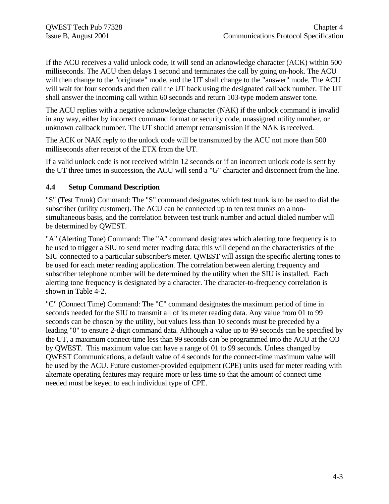If the ACU receives a valid unlock code, it will send an acknowledge character (ACK) within 500 milliseconds. The ACU then delays 1 second and terminates the call by going on-hook. The ACU will then change to the "originate" mode, and the UT shall change to the "answer" mode. The ACU will wait for four seconds and then call the UT back using the designated callback number. The UT shall answer the incoming call within 60 seconds and return 103-type modem answer tone.

The ACU replies with a negative acknowledge character (NAK) if the unlock command is invalid in any way, either by incorrect command format or security code, unassigned utility number, or unknown callback number. The UT should attempt retransmission if the NAK is received.

The ACK or NAK reply to the unlock code will be transmitted by the ACU not more than 500 milliseconds after receipt of the ETX from the UT.

If a valid unlock code is not received within 12 seconds or if an incorrect unlock code is sent by the UT three times in succession, the ACU will send a "G" character and disconnect from the line.

#### **4.4 Setup Command Description**

"S" (Test Trunk) Command: The "S" command designates which test trunk is to be used to dial the subscriber (utility customer). The ACU can be connected up to ten test trunks on a nonsimultaneous basis, and the correlation between test trunk number and actual dialed number will be determined by QWEST.

"A" (Alerting Tone) Command: The "A" command designates which alerting tone frequency is to be used to trigger a SIU to send meter reading data; this will depend on the characteristics of the SIU connected to a particular subscriber's meter. QWEST will assign the specific alerting tones to be used for each meter reading application. The correlation between alerting frequency and subscriber telephone number will be determined by the utility when the SIU is installed. Each alerting tone frequency is designated by a character. The character-to-frequency correlation is shown in Table 4-2.

"C" (Connect Time) Command: The "C" command designates the maximum period of time in seconds needed for the SIU to transmit all of its meter reading data. Any value from 01 to 99 seconds can be chosen by the utility, but values less than 10 seconds must be preceded by a leading "0" to ensure 2-digit command data. Although a value up to 99 seconds can be specified by the UT, a maximum connect-time less than 99 seconds can be programmed into the ACU at the CO by QWEST. This maximum value can have a range of 01 to 99 seconds. Unless changed by QWEST Communications, a default value of 4 seconds for the connect-time maximum value will be used by the ACU. Future customer-provided equipment (CPE) units used for meter reading with alternate operating features may require more or less time so that the amount of connect time needed must be keyed to each individual type of CPE.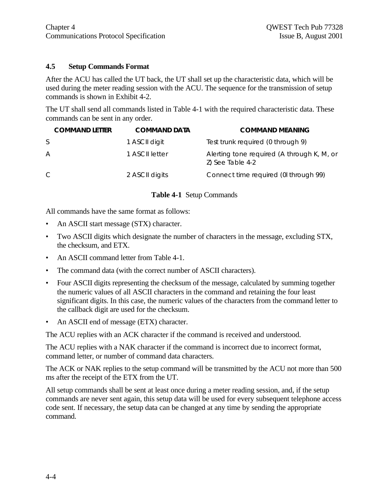#### **4.5 Setup Commands Format**

After the ACU has called the UT back, the UT shall set up the characteristic data, which will be used during the meter reading session with the ACU. The sequence for the transmission of setup commands is shown in Exhibit 4-2.

The UT shall send all commands listed in Table 4-1 with the required characteristic data. These commands can be sent in any order.

| <b>COMMAND LETTER</b> | <b>COMMAND DATA</b> | <b>COMMAND MEANING</b>                                         |
|-----------------------|---------------------|----------------------------------------------------------------|
| S                     | 1 ASCII digit       | Test trunk required (0 through 9)                              |
| A                     | 1 ASCII letter      | Alerting tone required (A through K, M, or<br>Z) See Table 4-2 |
| C                     | 2 ASCII digits      | Connect time required (0l through 99)                          |

#### **Table 4-1** Setup Commands

All commands have the same format as follows:

- An ASCII start message (STX) character.
- Two ASCII digits which designate the number of characters in the message, excluding STX, the checksum, and ETX.
- An ASCII command letter from Table 4-1.
- The command data (with the correct number of ASCII characters).
- Four ASCII digits representing the checksum of the message, calculated by summing together the numeric values of all ASCII characters in the command and retaining the four least significant digits. In this case, the numeric values of the characters from the command letter to the callback digit are used for the checksum.
- An ASCII end of message (ETX) character.

The ACU replies with an ACK character if the command is received and understood.

The ACU replies with a NAK character if the command is incorrect due to incorrect format, command letter, or number of command data characters.

The ACK or NAK replies to the setup command will be transmitted by the ACU not more than 500 ms after the receipt of the ETX from the UT.

All setup commands shall be sent at least once during a meter reading session, and, if the setup commands are never sent again, this setup data will be used for every subsequent telephone access code sent. If necessary, the setup data can be changed at any time by sending the appropriate command.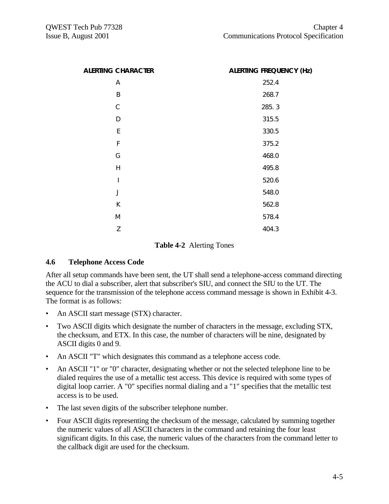| <b>ALERTING CHARACTER</b> | <b>ALERTING FREQUENCY (Hz)</b> |
|---------------------------|--------------------------------|
| Α                         | 252.4                          |
| B                         | 268.7                          |
| $\mathsf{C}$              | 285.3                          |
| D                         | 315.5                          |
| E                         | 330.5                          |
| F                         | 375.2                          |
| G                         | 468.0                          |
| H                         | 495.8                          |
| $\overline{\phantom{a}}$  | 520.6                          |
| J                         | 548.0                          |
| К                         | 562.8                          |
| M                         | 578.4                          |
| Z                         | 404.3                          |

#### **Table 4-2** Alerting Tones

#### **4.6 Telephone Access Code**

After all setup commands have been sent, the UT shall send a telephone-access command directing the ACU to dial a subscriber, alert that subscriber's SIU, and connect the SIU to the UT. The sequence for the transmission of the telephone access command message is shown in Exhibit 4-3. The format is as follows:

- An ASCII start message (STX) character.
- Two ASCII digits which designate the number of characters in the message, excluding STX, the checksum, and ETX. In this case, the number of characters will be nine, designated by ASCII digits 0 and 9.
- An ASCII "T" which designates this command as a telephone access code.
- An ASCII "1" or "0" character, designating whether or not the selected telephone line to be dialed requires the use of a metallic test access. This device is required with some types of digital loop carrier. A "0" specifies normal dialing and a "1" specifies that the metallic test access is to be used.
- The last seven digits of the subscriber telephone number.
- Four ASCII digits representing the checksum of the message, calculated by summing together the numeric values of all ASCII characters in the command and retaining the four least significant digits. In this case, the numeric values of the characters from the command letter to the callback digit are used for the checksum.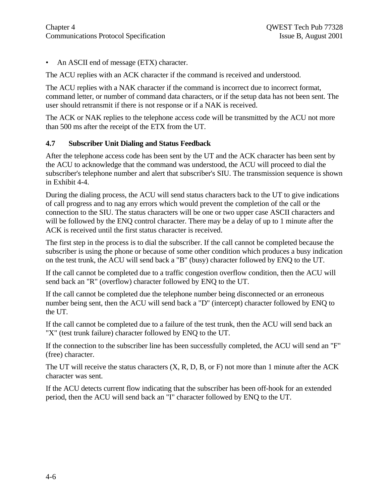• An ASCII end of message (ETX) character.

The ACU replies with an ACK character if the command is received and understood.

The ACU replies with a NAK character if the command is incorrect due to incorrect format, command letter, or number of command data characters, or if the setup data has not been sent. The user should retransmit if there is not response or if a NAK is received.

The ACK or NAK replies to the telephone access code will be transmitted by the ACU not more than 500 ms after the receipt of the ETX from the UT.

#### **4.7 Subscriber Unit Dialing and Status Feedback**

After the telephone access code has been sent by the UT and the ACK character has been sent by the ACU to acknowledge that the command was understood, the ACU will proceed to dial the subscriber's telephone number and alert that subscriber's SIU. The transmission sequence is shown in Exhibit 4-4.

During the dialing process, the ACU will send status characters back to the UT to give indications of call progress and to nag any errors which would prevent the completion of the call or the connection to the SIU. The status characters will be one or two upper case ASCII characters and will be followed by the ENQ control character. There may be a delay of up to 1 minute after the ACK is received until the first status character is received.

The first step in the process is to dial the subscriber. If the call cannot be completed because the subscriber is using the phone or because of some other condition which produces a busy indication on the test trunk, the ACU will send back a "B" (busy) character followed by ENQ to the UT.

If the call cannot be completed due to a traffic congestion overflow condition, then the ACU will send back an "R" (overflow) character followed by ENQ to the UT.

If the call cannot be completed due the telephone number being disconnected or an erroneous number being sent, then the ACU will send back a "D" (intercept) character followed by ENQ to the UT.

If the call cannot be completed due to a failure of the test trunk, then the ACU will send back an "X" (test trunk failure) character followed by ENQ to the UT.

If the connection to the subscriber line has been successfully completed, the ACU will send an "F" (free) character.

The UT will receive the status characters (X, R, D, B, or F) not more than 1 minute after the ACK character was sent.

If the ACU detects current flow indicating that the subscriber has been off-hook for an extended period, then the ACU will send back an "I" character followed by ENQ to the UT.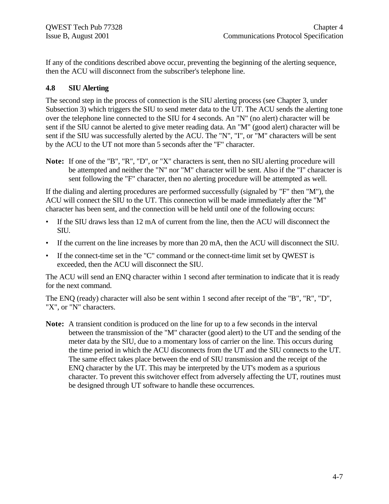If any of the conditions described above occur, preventing the beginning of the alerting sequence, then the ACU will disconnect from the subscriber's telephone line.

#### **4.8 SIU Alerting**

The second step in the process of connection is the SIU alerting process (see Chapter 3, under Subsection 3) which triggers the SIU to send meter data to the UT. The ACU sends the alerting tone over the telephone line connected to the SIU for 4 seconds. An "N" (no alert) character will be sent if the SIU cannot be alerted to give meter reading data. An "M" (good alert) character will be sent if the SIU was successfully alerted by the ACU. The "N", "I", or "M" characters will be sent by the ACU to the UT not more than 5 seconds after the "F" character.

**Note:** If one of the "B", "R", "D", or "X" characters is sent, then no SIU alerting procedure will be attempted and neither the "N" nor "M" character will be sent. Also if the "I" character is sent following the "F" character, then no alerting procedure will be attempted as well.

If the dialing and alerting procedures are performed successfully (signaled by "F" then "M"), the ACU will connect the SIU to the UT. This connection will be made immediately after the "M" character has been sent, and the connection will be held until one of the following occurs:

- If the SIU draws less than 12 mA of current from the line, then the ACU will disconnect the SIU.
- If the current on the line increases by more than 20 mA, then the ACU will disconnect the SIU.
- If the connect-time set in the "C" command or the connect-time limit set by QWEST is exceeded, then the ACU will disconnect the SIU.

The ACU will send an ENQ character within 1 second after termination to indicate that it is ready for the next command.

The ENQ (ready) character will also be sent within 1 second after receipt of the "B", "R", "D", "X", or "N" characters.

**Note:** A transient condition is produced on the line for up to a few seconds in the interval between the transmission of the "M" character (good alert) to the UT and the sending of the meter data by the SIU, due to a momentary loss of carrier on the line. This occurs during the time period in which the ACU disconnects from the UT and the SIU connects to the UT. The same effect takes place between the end of SIU transmission and the receipt of the ENQ character by the UT. This may be interpreted by the UT's modem as a spurious character. To prevent this switchover effect from adversely affecting the UT, routines must be designed through UT software to handle these occurrences.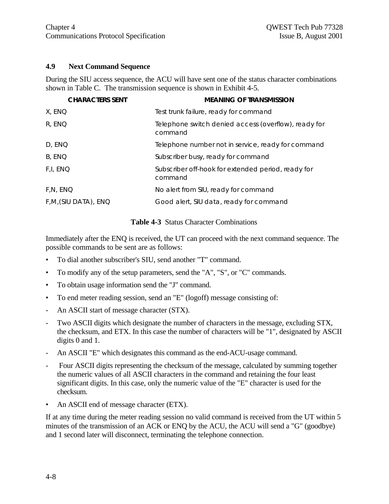#### **4.9 Next Command Sequence**

During the SIU access sequence, the ACU will have sent one of the status character combinations shown in Table C. The transmission sequence is shown in Exhibit 4-5.

| <b>CHARACTERS SENT</b> | <b>MEANING OF TRANSMISSION</b>                                  |
|------------------------|-----------------------------------------------------------------|
| X, ENQ                 | Test trunk failure, ready for command                           |
| R, ENQ                 | Telephone switch denied access (overflow), ready for<br>command |
| D, ENQ                 | Telephone number not in service, ready for command              |
| B, ENQ                 | Subscriber busy, ready for command                              |
| F,I, ENQ               | Subscriber off-hook for extended period, ready for<br>command   |
| F.N, ENQ               | No alert from SIU, ready for command                            |
| F,M,(SIU DATA), ENQ    | Good alert, SIU data, ready for command                         |

**Table 4-3** Status Character Combinations

Immediately after the ENQ is received, the UT can proceed with the next command sequence. The possible commands to be sent are as follows:

- To dial another subscriber's SIU, send another "T" command.
- To modify any of the setup parameters, send the "A", "S", or "C" commands.
- To obtain usage information send the "J" command.
- To end meter reading session, send an "E" (logoff) message consisting of:
- An ASCII start of message character (STX).
- Two ASCII digits which designate the number of characters in the message, excluding STX, the checksum, and ETX. In this case the number of characters will be "1", designated by ASCII digits 0 and 1.
- An ASCII "E" which designates this command as the end-ACU-usage command.
- Four ASCII digits representing the checksum of the message, calculated by summing together the numeric values of all ASCII characters in the command and retaining the four least significant digits. In this case, only the numeric value of the "E" character is used for the checksum.
- An ASCII end of message character (ETX).

If at any time during the meter reading session no valid command is received from the UT within 5 minutes of the transmission of an ACK or ENQ by the ACU, the ACU will send a "G" (goodbye) and 1 second later will disconnect, terminating the telephone connection.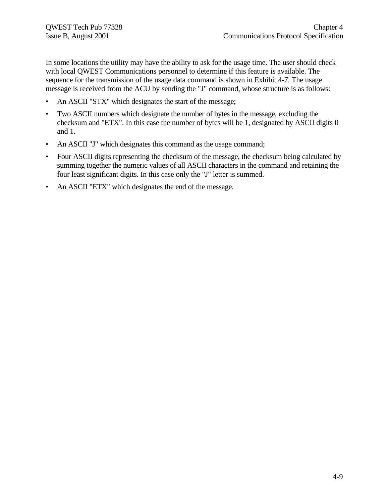In some locations the utility may have the ability to ask for the usage time. The user should check with local QWEST Communications personnel to determine if this feature is available. The sequence for the transmission of the usage data command is shown in Exhibit 4-7. The usage message is received from the ACU by sending the "J" command, whose structure is as follows:

- An ASCII "STX" which designates the start of the message;
- Two ASCII numbers which designate the number of bytes in the message, excluding the checksum and "ETX". In this case the number of bytes will be 1, designated by ASCII digits 0 and 1.
- An ASCII "J" which designates this command as the usage command;
- Four ASCII digits representing the checksum of the message, the checksum being calculated by summing together the numeric values of all ASCII characters in the command and retaining the four least significant digits. In this case only the "J" letter is summed.
- An ASCII "ETX" which designates the end of the message.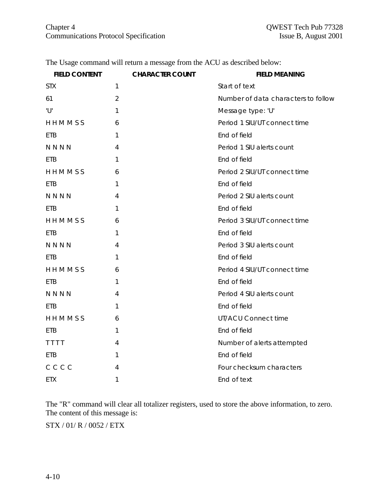| <b>FIELD CONTENT</b> | <b>CHARACTER COUNT</b> | <b>FIELD MEANING</b>                |
|----------------------|------------------------|-------------------------------------|
| <b>STX</b>           | 1                      | Start of text                       |
| 61                   | $\overline{2}$         | Number of data characters to follow |
| 'U'                  | 1                      | Message type: 'U'                   |
| HHMMSS               | 6                      | Period 1 SIU/UT connect time        |
| <b>ETB</b>           | 1                      | End of field                        |
| <b>NNNN</b>          | 4                      | Period 1 SIU alerts count           |
| <b>ETB</b>           | 1                      | End of field                        |
| HHMMSS               | 6                      | Period 2 SIU/UT connect time        |
| <b>ETB</b>           | 1                      | End of field                        |
| <b>NNNN</b>          | 4                      | Period 2 SIU alerts count           |
| <b>ETB</b>           | 1                      | End of field                        |
| HHMMSS               | 6                      | Period 3 SIU/UT connect time        |
| <b>ETB</b>           | 1                      | End of field                        |
| <b>NNNN</b>          | 4                      | Period 3 SIU alerts count           |
| <b>ETB</b>           | 1                      | End of field                        |
| HHMMSS               | 6                      | Period 4 SIU/UT connect time        |
| ETB                  | 1                      | End of field                        |
| NNNN                 | 4                      | Period 4 SIU alerts count           |
| <b>ETB</b>           | 1                      | End of field                        |
| HHMMSS               | 6                      | <b>UT/ACU Connect time</b>          |
| ETB.                 | 1                      | End of field                        |
| TTTT                 | 4                      | Number of alerts attempted          |
| <b>ETB</b>           | 1                      | End of field                        |
| CCCC                 | 4                      | Four checksum characters            |
| <b>ETX</b>           | 1                      | End of text                         |
|                      |                        |                                     |

The Usage command will return a message from the ACU as described below:

The "R" command will clear all totalizer registers, used to store the above information, to zero. The content of this message is:

STX / 01/ R / 0052 / ETX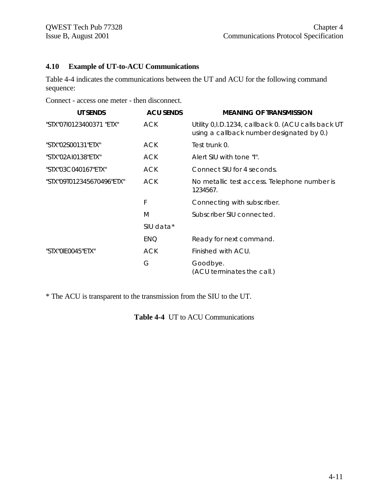#### **4.10 Example of UT-to-ACU Communications**

Table 4-4 indicates the communications between the UT and ACU for the following command sequence:

Connect - access one meter - then disconnect.

| UT SENDS                  | <b>ACU SENDS</b> | <b>MEANING OF TRANSMISSION</b>                                                                    |  |
|---------------------------|------------------|---------------------------------------------------------------------------------------------------|--|
| "STX"07I0123400371 "ETX"  | ACK              | Utility 0, I.D. 1234, callback 0. (ACU calls back UT<br>using a callback number designated by 0.) |  |
| "STX"02S00131"ETX"        | ACK              | Test trunk 0.                                                                                     |  |
| "STX"02AI0138"ETX"        | ACK              | Alert SIU with tone "I".                                                                          |  |
| "STX"03C040167"ETX"       | ACK              | Connect SIU for 4 seconds.                                                                        |  |
| "STX"09T012345670496"ETX" | ACK              | No metallic test access. Telephone number is<br>1234567.                                          |  |
|                           | F                | Connecting with subscriber.                                                                       |  |
|                           | M                | Subscriber SIU connected.                                                                         |  |
|                           | SIU data*        |                                                                                                   |  |
|                           | ENQ              | Ready for next command.                                                                           |  |
| "STX"0IE0045"ETX"         | <b>ACK</b>       | Finished with ACU.                                                                                |  |
|                           | G                | Goodbye.<br>(ACU terminates the call.)                                                            |  |

\* The ACU is transparent to the transmission from the SIU to the UT.

**Table 4-4** UT to ACU Communications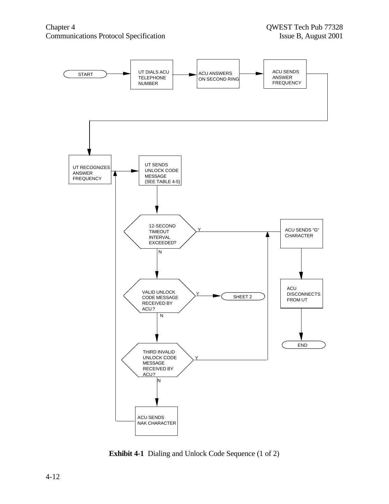

**Exhibit 4-1** Dialing and Unlock Code Sequence (1 of 2)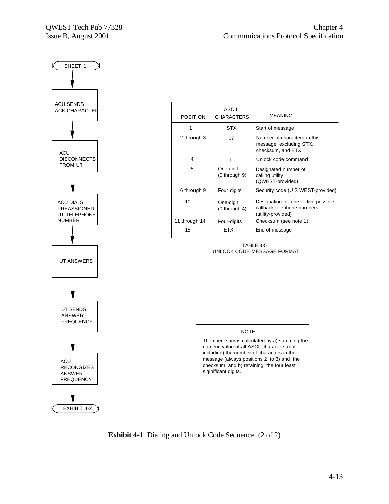

| <b>POSITION</b> | <b>ASCII</b><br><b>CHARACTERS</b> | MEANING                                                                                  |  |
|-----------------|-----------------------------------|------------------------------------------------------------------------------------------|--|
|                 | STX                               | Start of message                                                                         |  |
| 2 through 3     | 07                                | Number of characters in this<br>message, excluding STX,,<br>checksum, and ETX            |  |
| 4               |                                   | Unlock code command                                                                      |  |
| 5               | One digit<br>$(0$ through $9)$    | Designated number of<br>calling utility<br>(QWEST-provided)                              |  |
| 6 through 9     | Four digits                       | Security code (U S WEST-provided)                                                        |  |
| 10              | One-digit<br>$(0$ through 4)      | Designation for one of five possible<br>callback telephone numbers<br>(utility-provided) |  |
| 11 through 14   | Four-digits                       | Checksum (see note 1)                                                                    |  |
| 15              | <b>FTX</b>                        | End of message                                                                           |  |

TABLE 4-5 UNLOCK CODE MESSAGE FORMAT



The checksum is calculated by a) summing the numeric value of all ASCII characters (not including) the number of characters in the message (always positions 2 to 3) and the checksum, and b) retaining the four least siginificant digits.

**Exhibit 4-1** Dialing and Unlock Code Sequence (2 of 2)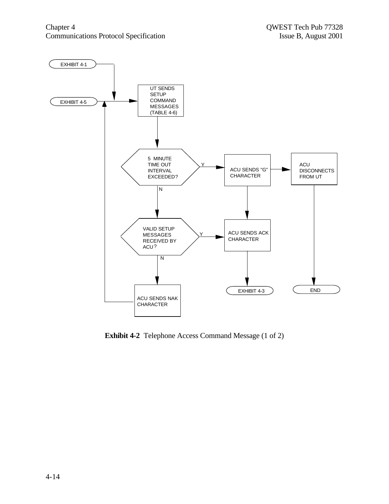

**Exhibit 4-2** Telephone Access Command Message (1 of 2)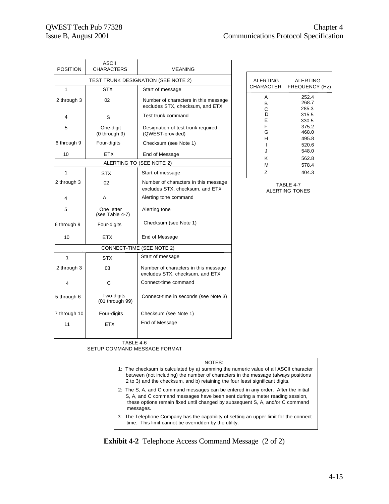| <b>POSITION</b>                     | <b>ASCII</b><br><b>CHARACTERS</b> | <b>MEANING</b>                                                          |  |  |
|-------------------------------------|-----------------------------------|-------------------------------------------------------------------------|--|--|
| TEST TRUNK DESIGNATION (SEE NOTE 2) |                                   |                                                                         |  |  |
| 1                                   | <b>STX</b>                        | Start of message                                                        |  |  |
| 2 through 3<br>02                   |                                   | Number of characters in this message<br>excludes STX, checksum, and ETX |  |  |
| 4                                   | S                                 | Test trunk command                                                      |  |  |
| 5                                   | One-digit<br>(0 through 9)        | Designation of test trunk required<br>(QWEST-provided)                  |  |  |
| 6 through 9                         | Four-digits                       | Checksum (see Note 1)                                                   |  |  |
| 10                                  | <b>ETX</b>                        | End of Message                                                          |  |  |
|                                     |                                   | ALERTING TO (SEE NOTE 2)                                                |  |  |
| 1                                   | <b>STX</b>                        | Start of message                                                        |  |  |
| 2 through 3                         | 02                                | Number of characters in this message<br>excludes STX, checksum, and ETX |  |  |
| 4                                   | A                                 | Alerting tone command                                                   |  |  |
| 5                                   | One letter<br>(see Table 4-7)     | Alerting tone                                                           |  |  |
| 6 through 9                         | Four-digits                       | Checksum (see Note 1)                                                   |  |  |
| 10                                  | <b>ETX</b>                        | End of Message                                                          |  |  |
|                                     |                                   | CONNECT-TIME (SEE NOTE 2)                                               |  |  |
| 1                                   | <b>STX</b>                        | Start of message                                                        |  |  |
| 2 through 3                         | 03                                | Number of characters in this message<br>excludes STX, checksum, and ETX |  |  |
| 4                                   | C                                 | Connect-time command                                                    |  |  |
| 5 through 6                         | Two-digits<br>(01 through 99)     | Connect-time in seconds (see Note 3)                                    |  |  |
| 7 through 10                        | Four-digits                       | Checksum (see Note 1)                                                   |  |  |
| 11                                  | ETX                               | End of Message                                                          |  |  |

| <b>ALERTING</b> | <b>ALERTING</b>                  |
|-----------------|----------------------------------|
| CHARACTER       | FREQUENCY (Hz)                   |
| А               | 252.4                            |
| в               | 268.7                            |
| С               | 285.3                            |
| D               | 315.5                            |
| E               | 330.5                            |
| F<br>G<br>н     | 375.2<br>468.0<br>495.8<br>520.6 |
| J               | 548.0                            |
| ĸ               | 562.8                            |
| м               | 578.4                            |
| Z               | 404.3                            |

TABLE 4-7 ALERTING TONES

TABLE 4-6 SETUP COMMAND MESSAGE FORMAT

- 1: The checksum is calculated by a) summing the numeric value of all ASCII character between (not including) the number of characters in the message (always positions 2 to 3) and the checksum, and b) retaining the four least significant digits.
- 2: The S, A, and C command messages can be entered in any order. After the initial S, A, and C command messages have been sent during a meter reading session, these options remain fixed until changed by subsequent S, A, and/or C command messages.
- 3: The Telephone Company has the capability of setting an upper limit for the connect time. This limit cannot be overridden by the utility.

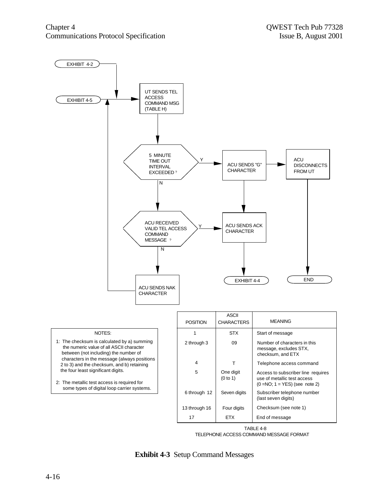

TABLE 4-8 TELEPHONE ACCESS COMMAND MESSAGE FORMAT

**Exhibit 4-3** Setup Command Messages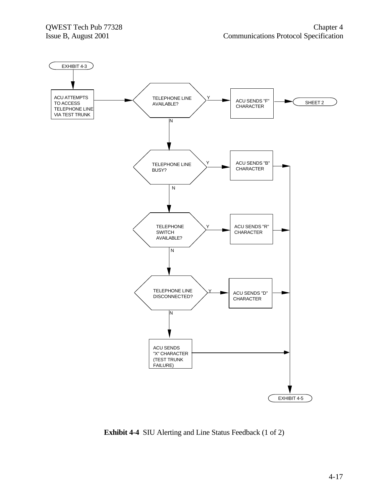

**Exhibit 4-4** SIU Alerting and Line Status Feedback (1 of 2)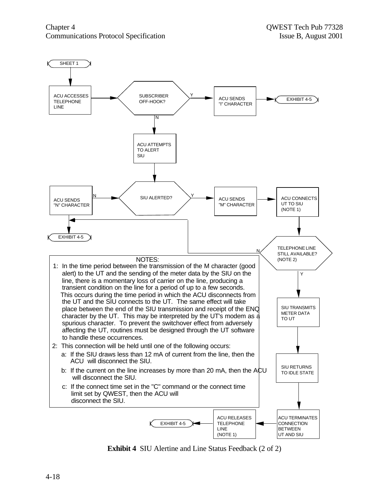

**Exhibit 4** SIU Alertine and Line Status Feedback (2 of 2)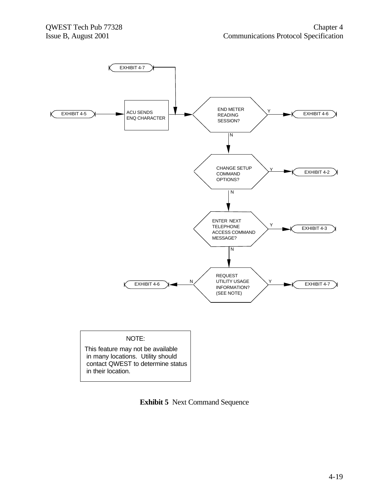

**Exhibit 5** Next Command Sequence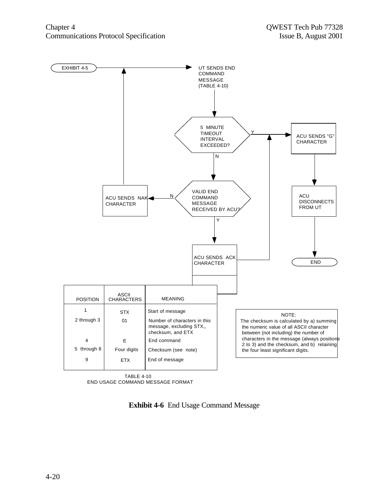

TABLE 4-10 END USAGE COMMAND MESSAGE FORMAT

**Exhibit 4-6** End Usage Command Message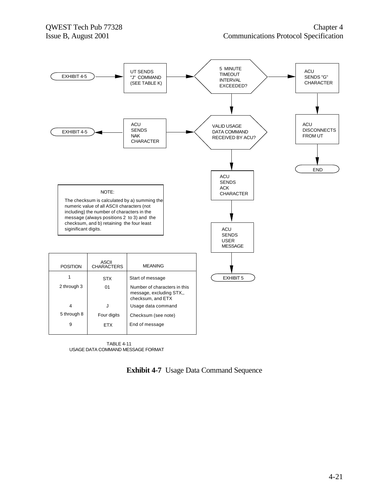

TABLE 4-11 USAGE DATA COMMAND MESSAGE FORMAT

**Exhibit 4-7** Usage Data Command Sequence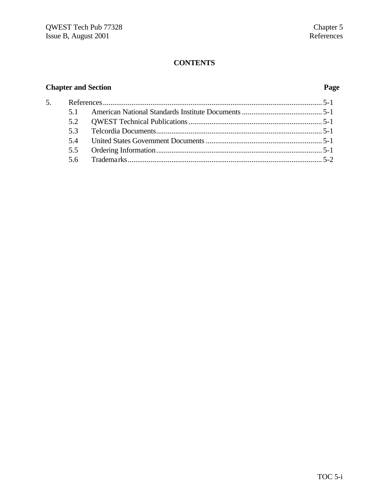# **Chapter and Section Page**

| 5. |    |  |
|----|----|--|
|    |    |  |
|    |    |  |
|    | 53 |  |
|    |    |  |
|    |    |  |
|    |    |  |
|    |    |  |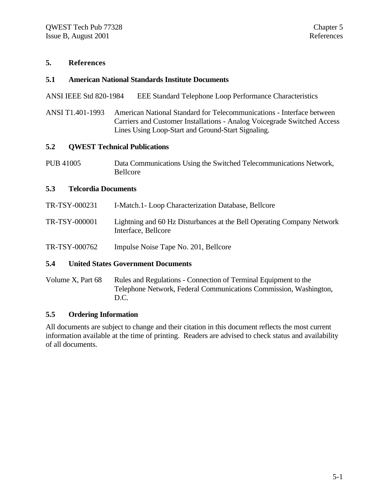#### **5. References**

#### **5.1 American National Standards Institute Documents**

ANSI IEEE Std 820-1984 EEE Standard Telephone Loop Performance Characteristics

ANSI T1.401-1993 American National Standard for Telecommunications - Interface between Carriers and Customer Installations - Analog Voicegrade Switched Access Lines Using Loop-Start and Ground-Start Signaling.

#### **5.2 QWEST Technical Publications**

PUB 41005 Data Communications Using the Switched Telecommunications Network, Bellcore

#### **5.3 Telcordia Documents**

TR-TSY-000231 I-Match.1- Loop Characterization Database, Bellcore TR-TSY-000001 Lightning and 60 Hz Disturbances at the Bell Operating Company Network Interface, Bellcore TR-TSY-000762 Impulse Noise Tape No. 201, Bellcore

#### **5.4 United States Government Documents**

Volume X, Part 68 Rules and Regulations - Connection of Terminal Equipment to the Telephone Network, Federal Communications Commission, Washington, D.C.

#### **5.5 Ordering Information**

All documents are subject to change and their citation in this document reflects the most current information available at the time of printing. Readers are advised to check status and availability of all documents.